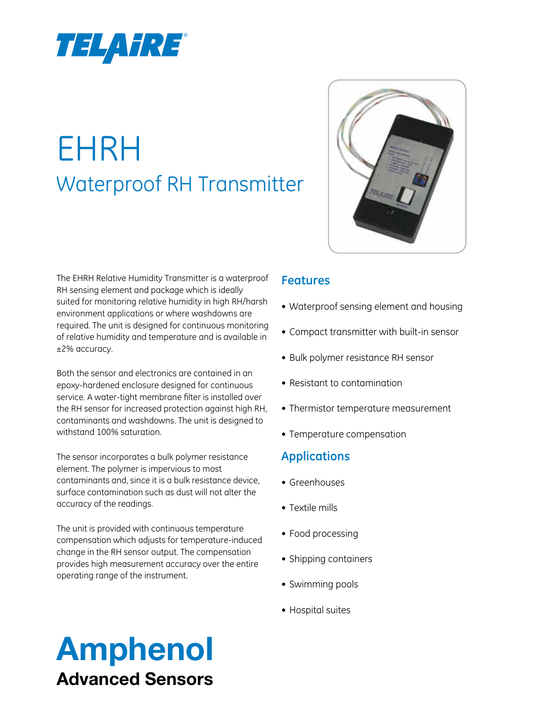

# EHRH Waterproof RH Transmitter



The EHRH Relative Humidity Transmitter is a waterproof RH sensing element and package which is ideally suited for monitoring relative humidity in high RH/harsh environment applications or where washdowns are required. The unit is designed for continuous monitoring of relative humidity and temperature and is available in ±2% accuracy.

Both the sensor and electronics are contained in an epoxy-hardened enclosure designed for continuous service. A water-tight membrane filter is installed over the RH sensor for increased protection against high RH, contaminants and washdowns. The unit is designed to withstand 100% saturation.

The sensor incorporates a bulk polymer resistance element. The polymer is impervious to most contaminants and, since it is a bulk resistance device, surface contamination such as dust will not alter the accuracy of the readings.

The unit is provided with continuous temperature compensation which adjusts for temperature-induced change in the RH sensor output. The compensation provides high measurement accuracy over the entire operating range of the instrument.

#### **Features**

- • Waterproof sensing element and housing
- Compact transmitter with built-in sensor
- Bulk polymer resistance RH sensor
- • Resistant to contamination
- Thermistor temperature measurement
- • Temperature compensation

# **Applications**

- Greenhouses
- • Textile mills
- Food processing
- Shipping containers
- Swimming pools
- Hospital suites

# Amphenol Advanced Sensors